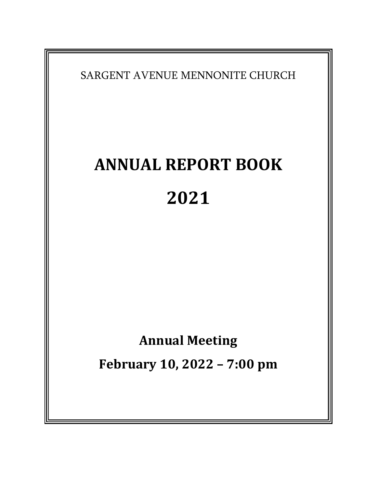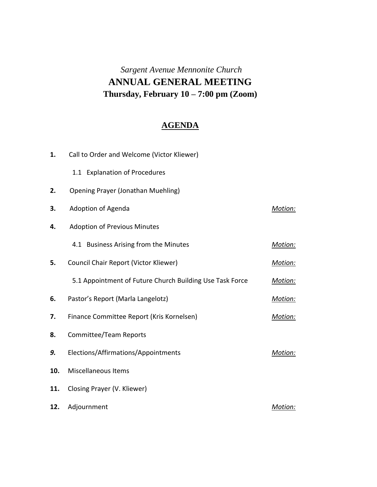# *Sargent Avenue Mennonite Church* **ANNUAL GENERAL MEETING Thursday, February 10 – 7:00 pm (Zoom)**

# **AGENDA**

| 1.  | Call to Order and Welcome (Victor Kliewer)               |         |
|-----|----------------------------------------------------------|---------|
|     | 1.1 Explanation of Procedures                            |         |
| 2.  | <b>Opening Prayer (Jonathan Muehling)</b>                |         |
| 3.  | Adoption of Agenda                                       | Motion: |
| 4.  | <b>Adoption of Previous Minutes</b>                      |         |
|     | 4.1 Business Arising from the Minutes                    | Motion: |
| 5.  | Council Chair Report (Victor Kliewer)                    | Motion: |
|     | 5.1 Appointment of Future Church Building Use Task Force | Motion: |
| 6.  | Pastor's Report (Marla Langelotz)                        | Motion: |
| 7.  | Finance Committee Report (Kris Kornelsen)                | Motion: |
| 8.  | <b>Committee/Team Reports</b>                            |         |
| 9.  | Elections/Affirmations/Appointments                      | Motion: |
| 10. | <b>Miscellaneous Items</b>                               |         |
| 11. | Closing Prayer (V. Kliewer)                              |         |
| 12. | Adjournment                                              | Motion: |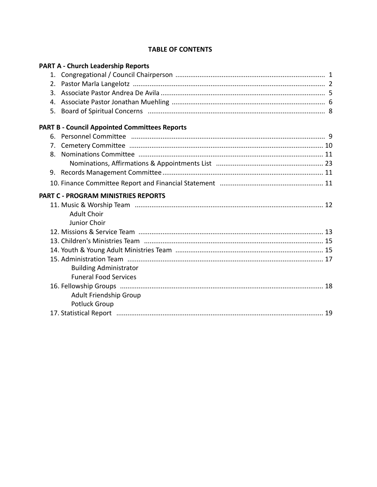#### **TABLE OF CONTENTS**

|    | <b>PART A - Church Leadership Reports</b>            |  |
|----|------------------------------------------------------|--|
|    |                                                      |  |
|    |                                                      |  |
|    | 3.                                                   |  |
|    |                                                      |  |
|    |                                                      |  |
|    | <b>PART B - Council Appointed Committees Reports</b> |  |
| 6. |                                                      |  |
|    |                                                      |  |
| 8. |                                                      |  |
|    |                                                      |  |
|    |                                                      |  |
|    |                                                      |  |
|    | <b>PART C - PROGRAM MINISTRIES REPORTS</b>           |  |
|    |                                                      |  |
|    | <b>Adult Choir</b>                                   |  |
|    | Junior Choir                                         |  |
|    |                                                      |  |
|    |                                                      |  |
|    |                                                      |  |
|    |                                                      |  |
|    | <b>Building Administrator</b>                        |  |
|    | <b>Funeral Food Services</b>                         |  |
|    |                                                      |  |
|    | Adult Friendship Group                               |  |
|    | <b>Potluck Group</b>                                 |  |
|    |                                                      |  |
|    |                                                      |  |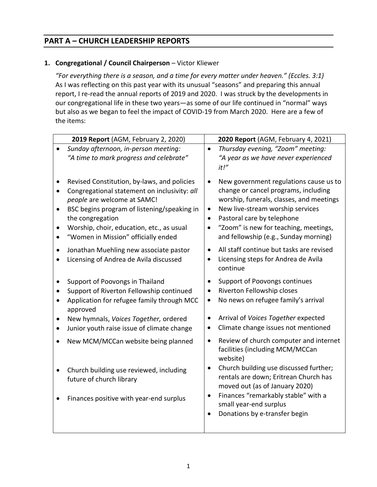# **PART A – CHURCH LEADERSHIP REPORTS**

# **1. Congregational / Council Chairperson** – Victor Kliewer

*"For everything there is a season, and a time for every matter under heaven." (Eccles. 3:1)* As I was reflecting on this past year with its unusual "seasons" and preparing this annual report, I re-read the annual reports of 2019 and 2020. I was struck by the developments in our congregational life in these two years—as some of our life continued in "normal" ways but also as we began to feel the impact of COVID-19 from March 2020. Here are a few of the items:

|           | 2019 Report (AGM, February 2, 2020)                                                                                                                                                                                                                                               | 2020 Report (AGM, February 4, 2021)                                                                                                                                                                                                                                                                                                |
|-----------|-----------------------------------------------------------------------------------------------------------------------------------------------------------------------------------------------------------------------------------------------------------------------------------|------------------------------------------------------------------------------------------------------------------------------------------------------------------------------------------------------------------------------------------------------------------------------------------------------------------------------------|
|           | Sunday afternoon, in-person meeting:<br>"A time to mark progress and celebrate"                                                                                                                                                                                                   | Thursday evening, "Zoom" meeting:<br>$\bullet$<br>"A year as we have never experienced<br>it!"                                                                                                                                                                                                                                     |
| $\bullet$ | Revised Constitution, by-laws, and policies<br>Congregational statement on inclusivity: all<br>people are welcome at SAMC!<br>BSC begins program of listening/speaking in<br>the congregation<br>Worship, choir, education, etc., as usual<br>"Women in Mission" officially ended | New government regulations cause us to<br>$\bullet$<br>change or cancel programs, including<br>worship, funerals, classes, and meetings<br>New live-stream worship services<br>$\bullet$<br>Pastoral care by telephone<br>$\bullet$<br>"Zoom" is new for teaching, meetings,<br>$\bullet$<br>and fellowship (e.g., Sunday morning) |
|           | Jonathan Muehling new associate pastor<br>Licensing of Andrea de Avila discussed                                                                                                                                                                                                  | All staff continue but tasks are revised<br>$\bullet$<br>Licensing steps for Andrea de Avila<br>$\bullet$<br>continue                                                                                                                                                                                                              |
| ٠         | Support of Poovongs in Thailand<br>Support of Riverton Fellowship continued<br>Application for refugee family through MCC<br>approved<br>New hymnals, Voices Together, ordered<br>Junior youth raise issue of climate change                                                      | Support of Poovongs continues<br>$\bullet$<br>Riverton Fellowship closes<br>$\bullet$<br>No news on refugee family's arrival<br>$\bullet$<br>Arrival of Voices Together expected<br>Climate change issues not mentioned<br>$\bullet$                                                                                               |
|           | New MCM/MCCan website being planned                                                                                                                                                                                                                                               | Review of church computer and internet<br>$\bullet$<br>facilities (including MCM/MCCan<br>website)                                                                                                                                                                                                                                 |
|           | Church building use reviewed, including<br>future of church library                                                                                                                                                                                                               | Church building use discussed further;<br>$\bullet$<br>rentals are down; Eritrean Church has<br>moved out (as of January 2020)                                                                                                                                                                                                     |
|           | Finances positive with year-end surplus                                                                                                                                                                                                                                           | Finances "remarkably stable" with a<br>$\bullet$<br>small year-end surplus<br>Donations by e-transfer begin                                                                                                                                                                                                                        |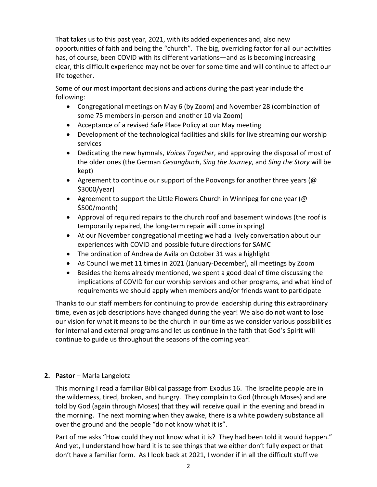That takes us to this past year, 2021, with its added experiences and, also new opportunities of faith and being the "church". The big, overriding factor for all our activities has, of course, been COVID with its different variations—and as is becoming increasing clear, this difficult experience may not be over for some time and will continue to affect our life together.

Some of our most important decisions and actions during the past year include the following:

- Congregational meetings on May 6 (by Zoom) and November 28 (combination of some 75 members in-person and another 10 via Zoom)
- Acceptance of a revised Safe Place Policy at our May meeting
- Development of the technological facilities and skills for live streaming our worship services
- Dedicating the new hymnals, *Voices Together*, and approving the disposal of most of the older ones (the German *Gesangbuch*, *Sing the Journey*, and *Sing the Story* will be kept)
- Agreement to continue our support of the Poovongs for another three years (@ \$3000/year)
- Agreement to support the Little Flowers Church in Winnipeg for one year (@ \$500/month)
- Approval of required repairs to the church roof and basement windows (the roof is temporarily repaired, the long-term repair will come in spring)
- At our November congregational meeting we had a lively conversation about our experiences with COVID and possible future directions for SAMC
- The ordination of Andrea de Avila on October 31 was a highlight
- As Council we met 11 times in 2021 (January-December), all meetings by Zoom
- Besides the items already mentioned, we spent a good deal of time discussing the implications of COVID for our worship services and other programs, and what kind of requirements we should apply when members and/or friends want to participate

Thanks to our staff members for continuing to provide leadership during this extraordinary time, even as job descriptions have changed during the year! We also do not want to lose our vision for what it means to be the church in our time as we consider various possibilities for internal and external programs and let us continue in the faith that God's Spirit will continue to guide us throughout the seasons of the coming year!

# **2. Pastor** – Marla Langelotz

This morning I read a familiar Biblical passage from Exodus 16. The Israelite people are in the wilderness, tired, broken, and hungry. They complain to God (through Moses) and are told by God (again through Moses) that they will receive quail in the evening and bread in the morning. The next morning when they awake, there is a white powdery substance all over the ground and the people "do not know what it is".

Part of me asks "How could they not know what it is? They had been told it would happen." And yet, I understand how hard it is to see things that we either don't fully expect or that don't have a familiar form. As I look back at 2021, I wonder if in all the difficult stuff we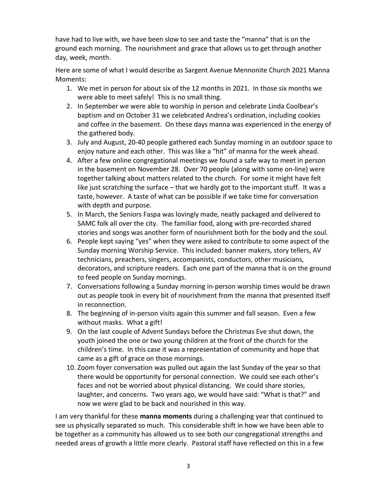have had to live with, we have been slow to see and taste the "manna" that is on the ground each morning. The nourishment and grace that allows us to get through another day, week, month.

Here are some of what I would describe as Sargent Avenue Mennonite Church 2021 Manna Moments:

- 1. We met in person for about six of the 12 months in 2021. In those six months we were able to meet safely! This is no small thing.
- 2. In September we were able to worship in person and celebrate Linda Coolbear's baptism and on October 31 we celebrated Andrea's ordination, including cookies and coffee in the basement. On these days manna was experienced in the energy of the gathered body.
- 3. July and August, 20-40 people gathered each Sunday morning in an outdoor space to enjoy nature and each other. This was like a "hit" of manna for the week ahead.
- 4. After a few online congregational meetings we found a safe way to meet in person in the basement on November 28. Over 70 people (along with some on-line) were together talking about matters related to the church. For some it might have felt like just scratching the surface – that we hardly got to the important stuff. It was a taste, however. A taste of what can be possible if we take time for conversation with depth and purpose.
- 5. In March, the Seniors Faspa was lovingly made, neatly packaged and delivered to SAMC folk all over the city. The familiar food, along with pre-recorded shared stories and songs was another form of nourishment both for the body and the soul.
- 6. People kept saying "yes" when they were asked to contribute to some aspect of the Sunday morning Worship Service. This included: banner makers, story tellers, AV technicians, preachers, singers, accompanists, conductors, other musicians, decorators, and scripture readers. Each one part of the manna that is on the ground to feed people on Sunday mornings.
- 7. Conversations following a Sunday morning in-person worship times would be drawn out as people took in every bit of nourishment from the manna that presented itself in reconnection.
- 8. The beginning of in-person visits again this summer and fall season. Even a few without masks. What a gift!
- 9. On the last couple of Advent Sundays before the Christmas Eve shut down, the youth joined the one or two young children at the front of the church for the children's time. In this case it was a representation of community and hope that came as a gift of grace on those mornings.
- 10. Zoom foyer conversation was pulled out again the last Sunday of the year so that there would be opportunity for personal connection. We could see each other's faces and not be worried about physical distancing. We could share stories, laughter, and concerns. Two years ago, we would have said: "What is that?" and now we were glad to be back and nourished in this way.

I am very thankful for these **manna moments** during a challenging year that continued to see us physically separated so much. This considerable shift in how we have been able to be together as a community has allowed us to see both our congregational strengths and needed areas of growth a little more clearly. Pastoral staff have reflected on this in a few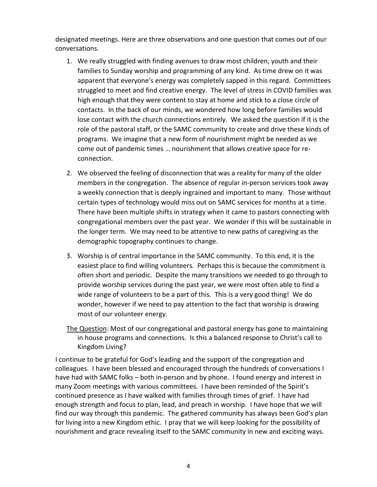designated meetings. Here are three observations and one question that comes out of our conversations.

- 1. We really struggled with finding avenues to draw most children, youth and their families to Sunday worship and programming of any kind. As time drew on it was apparent that everyone's energy was completely sapped in this regard. Committees struggled to meet and find creative energy. The level of stress in COVID families was high enough that they were content to stay at home and stick to a close circle of contacts. In the back of our minds, we wondered how long before families would lose contact with the church connections entirely. We asked the question if it is the role of the pastoral staff, or the SAMC community to create and drive these kinds of programs. We imagine that a new form of nourishment might be needed as we come out of pandemic times … nourishment that allows creative space for reconnection.
- 2. We observed the feeling of disconnection that was a reality for many of the older members in the congregation. The absence of regular in-person services took away a weekly connection that is deeply ingrained and important to many. Those without certain types of technology would miss out on SAMC services for months at a time. There have been multiple shifts in strategy when it came to pastors connecting with congregational members over the past year. We wonder if this will be sustainable in the longer term. We may need to be attentive to new paths of caregiving as the demographic topography continues to change.
- 3. Worship is of central importance in the SAMC community. To this end, it is the easiest place to find willing volunteers. Perhaps this is because the commitment is often short and periodic. Despite the many transitions we needed to go through to provide worship services during the past year, we were most often able to find a wide range of volunteers to be a part of this. This is a very good thing! We do wonder, however if we need to pay attention to the fact that worship is drawing most of our volunteer energy.
- The Question: Most of our congregational and pastoral energy has gone to maintaining in house programs and connections. Is this a balanced response to Christ's call to Kingdom Living?

I continue to be grateful for God's leading and the support of the congregation and colleagues. I have been blessed and encouraged through the hundreds of conversations I have had with SAMC folks – both in-person and by phone. I found energy and interest in many Zoom meetings with various committees. I have been reminded of the Spirit's continued presence as I have walked with families through times of grief. I have had enough strength and focus to plan, lead, and preach in worship. I have hope that we will find our way through this pandemic. The gathered community has always been God's plan for living into a new Kingdom ethic. I pray that we will keep looking for the possibility of nourishment and grace revealing itself to the SAMC community in new and exciting ways.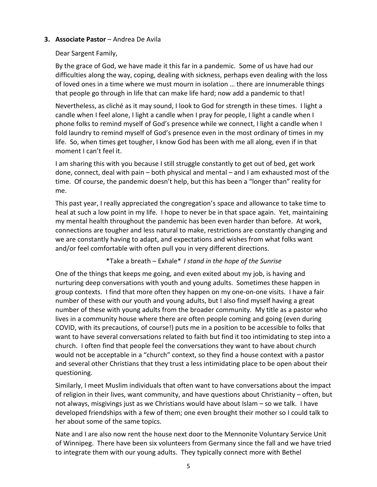#### **3. Associate Pastor** – Andrea De Avila

#### Dear Sargent Family,

By the grace of God, we have made it this far in a pandemic. Some of us have had our difficulties along the way, coping, dealing with sickness, perhaps even dealing with the loss of loved ones in a time where we must mourn in isolation … there are innumerable things that people go through in life that can make life hard; now add a pandemic to that!

Nevertheless, as cliché as it may sound, I look to God for strength in these times. I light a candle when I feel alone, I light a candle when I pray for people, I light a candle when I phone folks to remind myself of God's presence while we connect, I light a candle when I fold laundry to remind myself of God's presence even in the most ordinary of times in my life. So, when times get tougher, I know God has been with me all along, even if in that moment I can't feel it.

I am sharing this with you because I still struggle constantly to get out of bed, get work done, connect, deal with pain – both physical and mental – and I am exhausted most of the time. Of course, the pandemic doesn't help, but this has been a "longer than" reality for me.

This past year, I really appreciated the congregation's space and allowance to take time to heal at such a low point in my life. I hope to never be in that space again. Yet, maintaining my mental health throughout the pandemic has been even harder than before. At work, connections are tougher and less natural to make, restrictions are constantly changing and we are constantly having to adapt, and expectations and wishes from what folks want and/or feel comfortable with often pull you in very different directions.

\*Take a breath – Exhale\* *I stand in the hope of the Sunrise*

One of the things that keeps me going, and even exited about my job, is having and nurturing deep conversations with youth and young adults. Sometimes these happen in group contexts. I find that more often they happen on my one-on-one visits. I have a fair number of these with our youth and young adults, but I also find myself having a great number of these with young adults from the broader community. My title as a pastor who lives in a community house where there are often people coming and going (even during COVID, with its precautions, of course!) puts me in a position to be accessible to folks that want to have several conversations related to faith but find it too intimidating to step into a church. I often find that people feel the conversations they want to have about church would not be acceptable in a "church" context, so they find a house context with a pastor and several other Christians that they trust a less intimidating place to be open about their questioning.

Similarly, I meet Muslim individuals that often want to have conversations about the impact of religion in their lives, want community, and have questions about Christianity – often, but not always, misgivings just as we Christians would have about Islam – so we talk. I have developed friendships with a few of them; one even brought their mother so I could talk to her about some of the same topics.

Nate and I are also now rent the house next door to the Mennonite Voluntary Service Unit of Winnipeg. There have been six volunteers from Germany since the fall and we have tried to integrate them with our young adults. They typically connect more with Bethel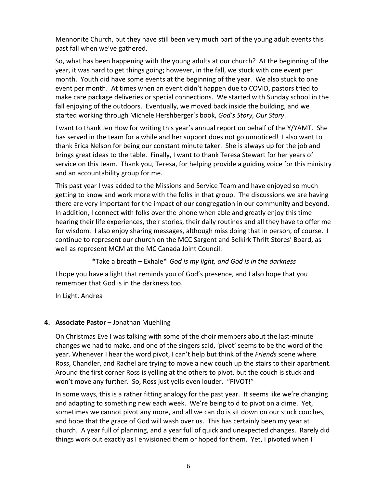Mennonite Church, but they have still been very much part of the young adult events this past fall when we've gathered.

So, what has been happening with the young adults at our church? At the beginning of the year, it was hard to get things going; however, in the fall, we stuck with one event per month. Youth did have some events at the beginning of the year. We also stuck to one event per month. At times when an event didn't happen due to COVID, pastors tried to make care package deliveries or special connections. We started with Sunday school in the fall enjoying of the outdoors. Eventually, we moved back inside the building, and we started working through Michele Hershberger's book, *God's Story, Our Story*.

I want to thank Jen How for writing this year's annual report on behalf of the Y/YAMT. She has served in the team for a while and her support does not go unnoticed! I also want to thank Erica Nelson for being our constant minute taker. She is always up for the job and brings great ideas to the table. Finally, I want to thank Teresa Stewart for her years of service on this team. Thank you, Teresa, for helping provide a guiding voice for this ministry and an accountability group for me.

This past year I was added to the Missions and Service Team and have enjoyed so much getting to know and work more with the folks in that group. The discussions we are having there are very important for the impact of our congregation in our community and beyond. In addition, I connect with folks over the phone when able and greatly enjoy this time hearing their life experiences, their stories, their daily routines and all they have to offer me for wisdom. I also enjoy sharing messages, although miss doing that in person, of course. I continue to represent our church on the MCC Sargent and Selkirk Thrift Stores' Board, as well as represent MCM at the MC Canada Joint Council.

\*Take a breath – Exhale\* *God is my light, and God is in the darkness*

I hope you have a light that reminds you of God's presence, and I also hope that you remember that God is in the darkness too.

In Light, Andrea

## **4. Associate Pastor** – Jonathan Muehling

On Christmas Eve I was talking with some of the choir members about the last-minute changes we had to make, and one of the singers said, 'pivot' seems to be the word of the year. Whenever I hear the word pivot, I can't help but think of the *Friends* scene where Ross, Chandler, and Rachel are trying to move a new couch up the stairs to their apartment. Around the first corner Ross is yelling at the others to pivot, but the couch is stuck and won't move any further. So, Ross just yells even louder. "PIVOT!"

In some ways, this is a rather fitting analogy for the past year. It seems like we're changing and adapting to something new each week. We're being told to pivot on a dime. Yet, sometimes we cannot pivot any more, and all we can do is sit down on our stuck couches, and hope that the grace of God will wash over us. This has certainly been my year at church. A year full of planning, and a year full of quick and unexpected changes. Rarely did things work out exactly as I envisioned them or hoped for them. Yet, I pivoted when I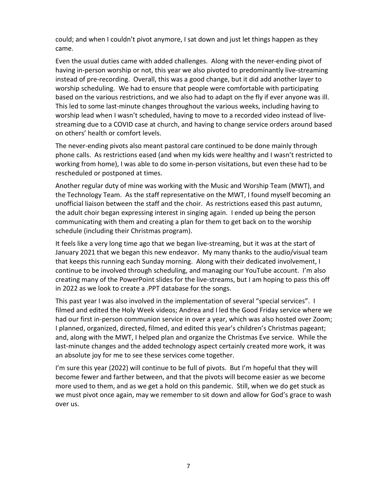could; and when I couldn't pivot anymore, I sat down and just let things happen as they came.

Even the usual duties came with added challenges. Along with the never-ending pivot of having in-person worship or not, this year we also pivoted to predominantly live-streaming instead of pre-recording. Overall, this was a good change, but it did add another layer to worship scheduling. We had to ensure that people were comfortable with participating based on the various restrictions, and we also had to adapt on the fly if ever anyone was ill. This led to some last-minute changes throughout the various weeks, including having to worship lead when I wasn't scheduled, having to move to a recorded video instead of livestreaming due to a COVID case at church, and having to change service orders around based on others' health or comfort levels.

The never-ending pivots also meant pastoral care continued to be done mainly through phone calls. As restrictions eased (and when my kids were healthy and I wasn't restricted to working from home), I was able to do some in-person visitations, but even these had to be rescheduled or postponed at times.

Another regular duty of mine was working with the Music and Worship Team (MWT), and the Technology Team. As the staff representative on the MWT, I found myself becoming an unofficial liaison between the staff and the choir. As restrictions eased this past autumn, the adult choir began expressing interest in singing again. I ended up being the person communicating with them and creating a plan for them to get back on to the worship schedule (including their Christmas program).

It feels like a very long time ago that we began live-streaming, but it was at the start of January 2021 that we began this new endeavor. My many thanks to the audio/visual team that keeps this running each Sunday morning. Along with their dedicated involvement, I continue to be involved through scheduling, and managing our YouTube account. I'm also creating many of the PowerPoint slides for the live-streams, but I am hoping to pass this off in 2022 as we look to create a .PPT database for the songs.

This past year I was also involved in the implementation of several "special services". I filmed and edited the Holy Week videos; Andrea and I led the Good Friday service where we had our first in-person communion service in over a year, which was also hosted over Zoom; I planned, organized, directed, filmed, and edited this year's children's Christmas pageant; and, along with the MWT, I helped plan and organize the Christmas Eve service. While the last-minute changes and the added technology aspect certainly created more work, it was an absolute joy for me to see these services come together.

I'm sure this year (2022) will continue to be full of pivots. But I'm hopeful that they will become fewer and farther between, and that the pivots will become easier as we become more used to them, and as we get a hold on this pandemic. Still, when we do get stuck as we must pivot once again, may we remember to sit down and allow for God's grace to wash over us.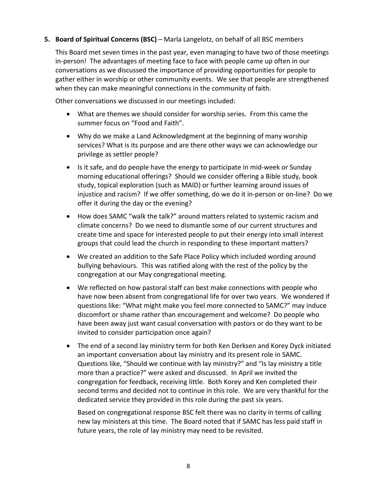## **5. Board of Spiritual Concerns (BSC)** – Marla Langelotz, on behalf of all BSC members

This Board met seven times in the past year, even managing to have two of those meetings in-person! The advantages of meeting face to face with people came up often in our conversations as we discussed the importance of providing opportunities for people to gather either in worship or other community events. We see that people are strengthened when they can make meaningful connections in the community of faith.

Other conversations we discussed in our meetings included:

- What are themes we should consider for worship series. From this came the summer focus on "Food and Faith".
- Why do we make a Land Acknowledgment at the beginning of many worship services? What is its purpose and are there other ways we can acknowledge our privilege as settler people?
- Is it safe, and do people have the energy to participate in mid-week or Sunday morning educational offerings? Should we consider offering a Bible study, book study, topical exploration (such as MAID) or further learning around issues of injustice and racism? If we offer something, do we do it in-person or on-line? Do we offer it during the day or the evening?
- How does SAMC "walk the talk?" around matters related to systemic racism and climate concerns? Do we need to dismantle some of our current structures and create time and space for interested people to put their energy into small interest groups that could lead the church in responding to these important matters?
- We created an addition to the Safe Place Policy which included wording around bullying behaviours. This was ratified along with the rest of the policy by the congregation at our May congregational meeting.
- We reflected on how pastoral staff can best make connections with people who have now been absent from congregational life for over two years. We wondered if questions like: "What might make you feel more connected to SAMC?" may induce discomfort or shame rather than encouragement and welcome? Do people who have been away just want casual conversation with pastors or do they want to be invited to consider participation once again?
- The end of a second lay ministry term for both Ken Derksen and Korey Dyck initiated an important conversation about lay ministry and its present role in SAMC. Questions like, "Should we continue with lay ministry?" and "Is lay ministry a title more than a practice?" were asked and discussed. In April we invited the congregation for feedback, receiving little. Both Korey and Ken completed their second terms and decided not to continue in this role. We are very thankful for the dedicated service they provided in this role during the past six years.

Based on congregational response BSC felt there was no clarity in terms of calling new lay ministers at this time. The Board noted that if SAMC has less paid staff in future years, the role of lay ministry may need to be revisited.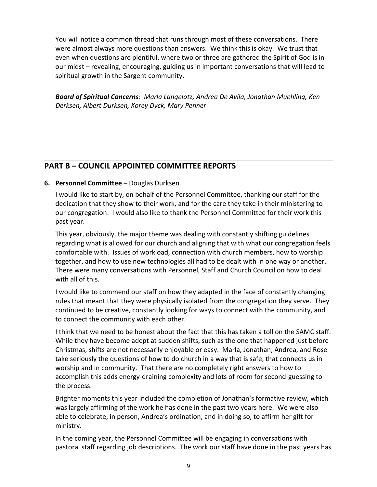You will notice a common thread that runs through most of these conversations. There were almost always more questions than answers. We think this is okay. We trust that even when questions are plentiful, where two or three are gathered the Spirit of God is in our midst – revealing, encouraging, guiding us in important conversations that will lead to spiritual growth in the Sargent community.

*Board of Spiritual Concerns: Marla Langelotz, Andrea De Avila, Jonathan Muehling, Ken Derksen, Albert Durksen, Korey Dyck, Mary Penner*

# **PART B – COUNCIL APPOINTED COMMITTEE REPORTS**

## **6. Personnel Committee** – Douglas Durksen

I would like to start by, on behalf of the Personnel Committee, thanking our staff for the dedication that they show to their work, and for the care they take in their ministering to our congregation. I would also like to thank the Personnel Committee for their work this past year.

This year, obviously, the major theme was dealing with constantly shifting guidelines regarding what is allowed for our church and aligning that with what our congregation feels comfortable with. Issues of workload, connection with church members, how to worship together, and how to use new technologies all had to be dealt with in one way or another. There were many conversations with Personnel, Staff and Church Council on how to deal with all of this.

I would like to commend our staff on how they adapted in the face of constantly changing rules that meant that they were physically isolated from the congregation they serve. They continued to be creative, constantly looking for ways to connect with the community, and to connect the community with each other.

I think that we need to be honest about the fact that this has taken a toll on the SAMC staff. While they have become adept at sudden shifts, such as the one that happened just before Christmas, shifts are not necessarily enjoyable or easy. Marla, Jonathan, Andrea, and Rose take seriously the questions of how to do church in a way that is safe, that connects us in worship and in community. That there are no completely right answers to how to accomplish this adds energy-draining complexity and lots of room for second-guessing to the process.

Brighter moments this year included the completion of Jonathan's formative review, which was largely affirming of the work he has done in the past two years here. We were also able to celebrate, in person, Andrea's ordination, and in doing so, to affirm her gift for ministry.

In the coming year, the Personnel Committee will be engaging in conversations with pastoral staff regarding job descriptions. The work our staff have done in the past years has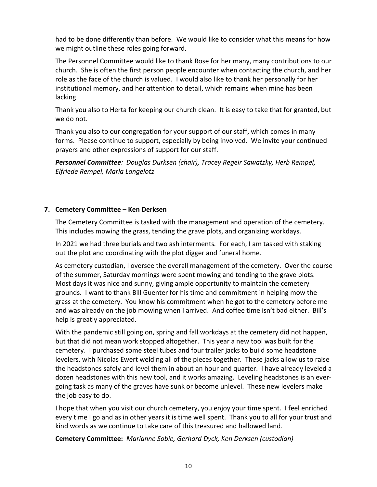had to be done differently than before. We would like to consider what this means for how we might outline these roles going forward.

The Personnel Committee would like to thank Rose for her many, many contributions to our church. She is often the first person people encounter when contacting the church, and her role as the face of the church is valued. I would also like to thank her personally for her institutional memory, and her attention to detail, which remains when mine has been lacking.

Thank you also to Herta for keeping our church clean. It is easy to take that for granted, but we do not.

Thank you also to our congregation for your support of our staff, which comes in many forms. Please continue to support, especially by being involved. We invite your continued prayers and other expressions of support for our staff.

*Personnel Committee: Douglas Durksen (chair), Tracey Regeir Sawatzky, Herb Rempel, Elfriede Rempel, Marla Langelotz*

## **7. Cemetery Committee – Ken Derksen**

The Cemetery Committee is tasked with the management and operation of the cemetery. This includes mowing the grass, tending the grave plots, and organizing workdays.

In 2021 we had three burials and two ash interments*.* For each, I am tasked with staking out the plot and coordinating with the plot digger and funeral home.

As cemetery custodian, I oversee the overall management of the cemetery. Over the course of the summer, Saturday mornings were spent mowing and tending to the grave plots. Most days it was nice and sunny, giving ample opportunity to maintain the cemetery grounds. I want to thank Bill Guenter for his time and commitment in helping mow the grass at the cemetery. You know his commitment when he got to the cemetery before me and was already on the job mowing when I arrived. And coffee time isn't bad either. Bill's help is greatly appreciated.

With the pandemic still going on, spring and fall workdays at the cemetery did not happen, but that did not mean work stopped altogether. This year a new tool was built for the cemetery. I purchased some steel tubes and four trailer jacks to build some headstone levelers, with Nicolas Ewert welding all of the pieces together. These jacks allow us to raise the headstones safely and level them in about an hour and quarter. I have already leveled a dozen headstones with this new tool, and it works amazing. Leveling headstones is an evergoing task as many of the graves have sunk or become unlevel. These new levelers make the job easy to do.

I hope that when you visit our church cemetery, you enjoy your time spent. I feel enriched every time I go and as in other years it is time well spent. Thank you to all for your trust and kind words as we continue to take care of this treasured and hallowed land.

**Cemetery Committee:** *Marianne Sobie, Gerhard Dyck, Ken Derksen (custodian)*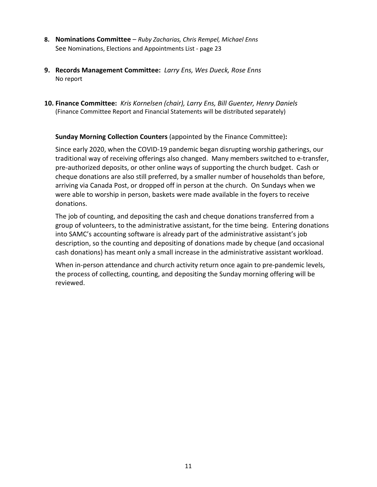- **8. Nominations Committee** *Ruby Zacharias, Chris Rempel, Michael Enns* See Nominations, Elections and Appointments List - page 23
- **9. Records Management Committee:** *Larry Ens, Wes Dueck, Rose Enns* No report
- **10. Finance Committee:** *Kris Kornelsen (chair), Larry Ens, Bill Guenter, Henry Daniels* (Finance Committee Report and Financial Statements will be distributed separately)

#### **Sunday Morning Collection Counters** (appointed by the Finance Committee)**:**

Since early 2020, when the COVID-19 pandemic began disrupting worship gatherings, our traditional way of receiving offerings also changed. Many members switched to e-transfer, pre-authorized deposits, or other online ways of supporting the church budget. Cash or cheque donations are also still preferred, by a smaller number of households than before, arriving via Canada Post, or dropped off in person at the church. On Sundays when we were able to worship in person, baskets were made available in the foyers to receive donations.

The job of counting, and depositing the cash and cheque donations transferred from a group of volunteers, to the administrative assistant, for the time being. Entering donations into SAMC's accounting software is already part of the administrative assistant's job description, so the counting and depositing of donations made by cheque (and occasional cash donations) has meant only a small increase in the administrative assistant workload.

When in-person attendance and church activity return once again to pre-pandemic levels, the process of collecting, counting, and depositing the Sunday morning offering will be reviewed.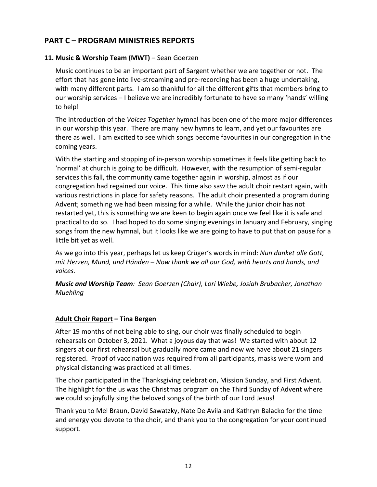# **PART C – PROGRAM MINISTRIES REPORTS**

## **11. Music & Worship Team (MWT)** – Sean Goerzen

Music continues to be an important part of Sargent whether we are together or not. The effort that has gone into live-streaming and pre-recording has been a huge undertaking, with many different parts. I am so thankful for all the different gifts that members bring to our worship services – I believe we are incredibly fortunate to have so many 'hands' willing to help!

The introduction of the *Voices Together* hymnal has been one of the more major differences in our worship this year. There are many new hymns to learn, and yet our favourites are there as well. I am excited to see which songs become favourites in our congregation in the coming years.

With the starting and stopping of in-person worship sometimes it feels like getting back to 'normal' at church is going to be difficult. However, with the resumption of semi-regular services this fall, the community came together again in worship, almost as if our congregation had regained our voice. This time also saw the adult choir restart again, with various restrictions in place for safety reasons. The adult choir presented a program during Advent; something we had been missing for a while. While the junior choir has not restarted yet, this is something we are keen to begin again once we feel like it is safe and practical to do so. I had hoped to do some singing evenings in January and February, singing songs from the new hymnal, but it looks like we are going to have to put that on pause for a little bit yet as well.

As we go into this year, perhaps let us keep Crüger's words in mind: *Nun danket alle Gott, mit Herzen, Mund, und Händen* – *Now thank we all our God, with hearts and hands, and voices.*

*Music and Worship Team: Sean Goerzen (Chair), Lori Wiebe, Josiah Brubacher, Jonathan Muehling*

#### **Adult Choir Report – Tina Bergen**

After 19 months of not being able to sing, our choir was finally scheduled to begin rehearsals on October 3, 2021. What a joyous day that was! We started with about 12 singers at our first rehearsal but gradually more came and now we have about 21 singers registered. Proof of vaccination was required from all participants, masks were worn and physical distancing was practiced at all times.

The choir participated in the Thanksgiving celebration, Mission Sunday, and First Advent. The highlight for the us was the Christmas program on the Third Sunday of Advent where we could so joyfully sing the beloved songs of the birth of our Lord Jesus!

Thank you to Mel Braun, David Sawatzky, Nate De Avila and Kathryn Balacko for the time and energy you devote to the choir, and thank you to the congregation for your continued support.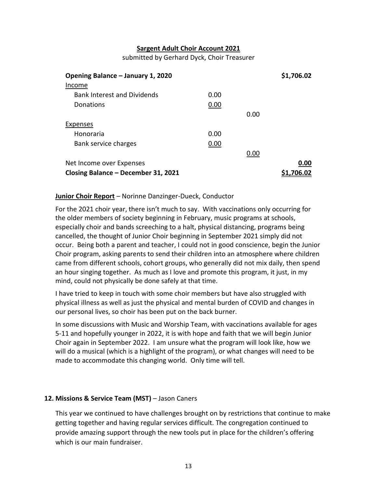#### **Sargent Adult Choir Account 2021**

submitted by Gerhard Dyck, Choir Treasurer

| Opening Balance - January 1, 2020   |      |      | \$1,706.02 |
|-------------------------------------|------|------|------------|
| Income                              |      |      |            |
| <b>Bank Interest and Dividends</b>  | 0.00 |      |            |
| Donations                           | 0.00 |      |            |
|                                     |      | 0.00 |            |
| Expenses                            |      |      |            |
| Honoraria                           | 0.00 |      |            |
| Bank service charges                | 0.00 |      |            |
|                                     |      | 0.00 |            |
| Net Income over Expenses            |      |      | 0.00       |
| Closing Balance - December 31, 2021 |      |      | \$1,706.02 |

#### **Junior Choir Report** – Norinne Danzinger-Dueck, Conductor

For the 2021 choir year, there isn't much to say. With vaccinations only occurring for the older members of society beginning in February, music programs at schools, especially choir and bands screeching to a halt, physical distancing, programs being cancelled, the thought of Junior Choir beginning in September 2021 simply did not occur. Being both a parent and teacher, I could not in good conscience, begin the Junior Choir program, asking parents to send their children into an atmosphere where children came from different schools, cohort groups, who generally did not mix daily, then spend an hour singing together. As much as I love and promote this program, it just, in my mind, could not physically be done safely at that time.

I have tried to keep in touch with some choir members but have also struggled with physical illness as well as just the physical and mental burden of COVID and changes in our personal lives, so choir has been put on the back burner.

In some discussions with Music and Worship Team, with vaccinations available for ages 5-11 and hopefully younger in 2022, it is with hope and faith that we will begin Junior Choir again in September 2022. I am unsure what the program will look like, how we will do a musical (which is a highlight of the program), or what changes will need to be made to accommodate this changing world. Only time will tell.

#### **12. Missions & Service Team (MST)** – Jason Caners

This year we continued to have challenges brought on by restrictions that continue to make getting together and having regular services difficult. The congregation continued to provide amazing support through the new tools put in place for the children's offering which is our main fundraiser.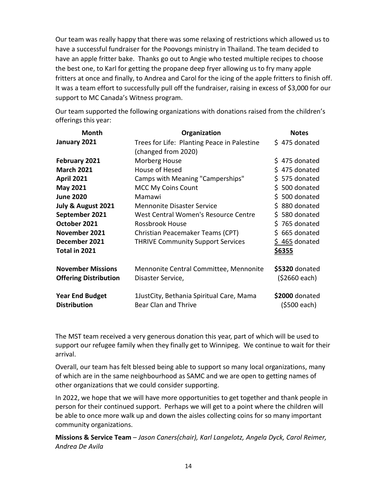Our team was really happy that there was some relaxing of restrictions which allowed us to have a successful fundraiser for the Poovongs ministry in Thailand. The team decided to have an apple fritter bake. Thanks go out to Angie who tested multiple recipes to choose the best one, to Karl for getting the propane deep fryer allowing us to fry many apple fritters at once and finally, to Andrea and Carol for the icing of the apple fritters to finish off. It was a team effort to successfully pull off the fundraiser, raising in excess of \$3,000 for our support to MC Canada's Witness program.

Our team supported the following organizations with donations raised from the children's offerings this year:

| <b>Month</b>                                  | Organization                                                       | <b>Notes</b>                   |
|-----------------------------------------------|--------------------------------------------------------------------|--------------------------------|
| January 2021                                  | Trees for Life: Planting Peace in Palestine<br>(changed from 2020) | \$475 donated                  |
| February 2021                                 | Morberg House                                                      | \$475 donated                  |
| <b>March 2021</b>                             | House of Hesed                                                     | \$475 donated                  |
| <b>April 2021</b>                             | Camps with Meaning "Camperships"                                   | \$575 donated                  |
| <b>May 2021</b>                               | <b>MCC My Coins Count</b>                                          | \$500 donated                  |
| <b>June 2020</b>                              | Mamawi                                                             | \$500 donated                  |
| July & August 2021                            | <b>Mennonite Disaster Service</b>                                  | \$880 donated                  |
| September 2021                                | West Central Women's Resource Centre                               | \$580 donated                  |
| October 2021                                  | <b>Rossbrook House</b>                                             | \$765 donated                  |
| November 2021                                 | Christian Peacemaker Teams (CPT)                                   | $$665$ donated                 |
| December 2021<br>Total in 2021                | <b>THRIVE Community Support Services</b>                           | \$465 donated<br><u>\$6355</u> |
| <b>November Missions</b>                      | Mennonite Central Committee, Mennonite                             | \$5320 donated                 |
| <b>Offering Distribution</b>                  | Disaster Service,                                                  | (\$2660 each)                  |
| <b>Year End Budget</b><br><b>Distribution</b> | 1JustCity, Bethania Spiritual Care, Mama<br>Bear Clan and Thrive   | \$2000 donated<br>(\$500 each) |

The MST team received a very generous donation this year, part of which will be used to support our refugee family when they finally get to Winnipeg. We continue to wait for their arrival.

Overall, our team has felt blessed being able to support so many local organizations, many of which are in the same neighbourhood as SAMC and we are open to getting names of other organizations that we could consider supporting.

In 2022, we hope that we will have more opportunities to get together and thank people in person for their continued support. Perhaps we will get to a point where the children will be able to once more walk up and down the aisles collecting coins for so many important community organizations.

**Missions & Service Team** – *Jason Caners(chair), Karl Langelotz, Angela Dyck, Carol Reimer, Andrea De Avila*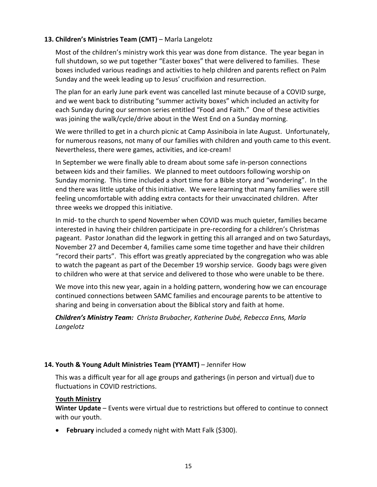## **13. Children's Ministries Team (CMT)** – Marla Langelotz

Most of the children's ministry work this year was done from distance. The year began in full shutdown, so we put together "Easter boxes" that were delivered to families. These boxes included various readings and activities to help children and parents reflect on Palm Sunday and the week leading up to Jesus' crucifixion and resurrection.

The plan for an early June park event was cancelled last minute because of a COVID surge, and we went back to distributing "summer activity boxes" which included an activity for each Sunday during our sermon series entitled "Food and Faith." One of these activities was joining the walk/cycle/drive about in the West End on a Sunday morning.

We were thrilled to get in a church picnic at Camp Assiniboia in late August. Unfortunately, for numerous reasons, not many of our families with children and youth came to this event. Nevertheless, there were games, activities, and ice-cream!

In September we were finally able to dream about some safe in-person connections between kids and their families. We planned to meet outdoors following worship on Sunday morning. This time included a short time for a Bible story and "wondering". In the end there was little uptake of this initiative. We were learning that many families were still feeling uncomfortable with adding extra contacts for their unvaccinated children. After three weeks we dropped this initiative.

In mid- to the church to spend November when COVID was much quieter, families became interested in having their children participate in pre-recording for a children's Christmas pageant. Pastor Jonathan did the legwork in getting this all arranged and on two Saturdays, November 27 and December 4, families came some time together and have their children "record their parts". This effort was greatly appreciated by the congregation who was able to watch the pageant as part of the December 19 worship service. Goody bags were given to children who were at that service and delivered to those who were unable to be there.

We move into this new year, again in a holding pattern, wondering how we can encourage continued connections between SAMC families and encourage parents to be attentive to sharing and being in conversation about the Biblical story and faith at home.

*Children's Ministry Team: Christa Brubacher, Katherine Dubé, Rebecca Enns, Marla Langelotz*

## **14. Youth & Young Adult Ministries Team (YYAMT)** – Jennifer How

This was a difficult year for all age groups and gatherings (in person and virtual) due to fluctuations in COVID restrictions.

#### **Youth Ministry**

**Winter Update** – Events were virtual due to restrictions but offered to continue to connect with our youth.

• **February** included a comedy night with Matt Falk (\$300).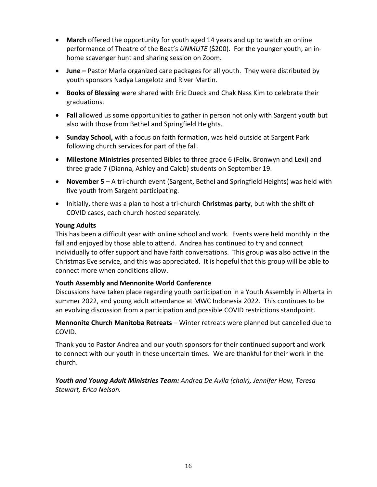- **March** offered the opportunity for youth aged 14 years and up to watch an online performance of Theatre of the Beat's *UNMUTE* (\$200). For the younger youth, an inhome scavenger hunt and sharing session on Zoom.
- **June –** Pastor Marla organized care packages for all youth. They were distributed by youth sponsors Nadya Langelotz and River Martin.
- **Books of Blessing** were shared with Eric Dueck and Chak Nass Kim to celebrate their graduations.
- **Fall** allowed us some opportunities to gather in person not only with Sargent youth but also with those from Bethel and Springfield Heights.
- **Sunday School,** with a focus on faith formation, was held outside at Sargent Park following church services for part of the fall.
- **Milestone Ministries** presented Bibles to three grade 6 (Felix, Bronwyn and Lexi) and three grade 7 (Dianna, Ashley and Caleb) students on September 19.
- **November 5** A tri-church event (Sargent, Bethel and Springfield Heights) was held with five youth from Sargent participating.
- Initially, there was a plan to host a tri-church **Christmas party**, but with the shift of COVID cases, each church hosted separately.

## **Young Adults**

This has been a difficult year with online school and work. Events were held monthly in the fall and enjoyed by those able to attend. Andrea has continued to try and connect individually to offer support and have faith conversations. This group was also active in the Christmas Eve service, and this was appreciated. It is hopeful that this group will be able to connect more when conditions allow.

## **Youth Assembly and Mennonite World Conference**

Discussions have taken place regarding youth participation in a Youth Assembly in Alberta in summer 2022, and young adult attendance at MWC Indonesia 2022. This continues to be an evolving discussion from a participation and possible COVID restrictions standpoint.

**Mennonite Church Manitoba Retreats** – Winter retreats were planned but cancelled due to COVID.

Thank you to Pastor Andrea and our youth sponsors for their continued support and work to connect with our youth in these uncertain times. We are thankful for their work in the church.

*Youth and Young Adult Ministries Team: Andrea De Avila (chair), Jennifer How, Teresa Stewart, Erica Nelson.*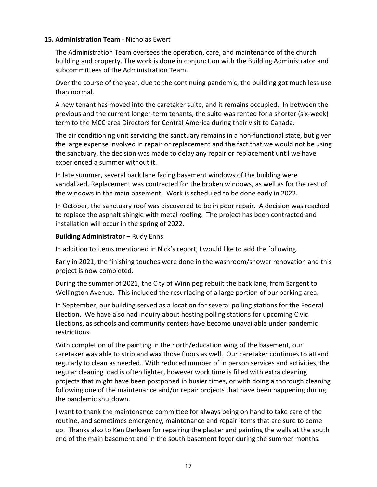#### **15. Administration Team** - Nicholas Ewert

The Administration Team oversees the operation, care, and maintenance of the church building and property. The work is done in conjunction with the Building Administrator and subcommittees of the Administration Team.

Over the course of the year, due to the continuing pandemic, the building got much less use than normal.

A new tenant has moved into the caretaker suite, and it remains occupied. In between the previous and the current longer-term tenants, the suite was rented for a shorter (six-week) term to the MCC area Directors for Central America during their visit to Canada.

The air conditioning unit servicing the sanctuary remains in a non-functional state, but given the large expense involved in repair or replacement and the fact that we would not be using the sanctuary, the decision was made to delay any repair or replacement until we have experienced a summer without it.

In late summer, several back lane facing basement windows of the building were vandalized. Replacement was contracted for the broken windows, as well as for the rest of the windows in the main basement. Work is scheduled to be done early in 2022.

In October, the sanctuary roof was discovered to be in poor repair. A decision was reached to replace the asphalt shingle with metal roofing. The project has been contracted and installation will occur in the spring of 2022.

## **Building Administrator** – Rudy Enns

In addition to items mentioned in Nick's report, I would like to add the following.

Early in 2021, the finishing touches were done in the washroom/shower renovation and this project is now completed.

During the summer of 2021, the City of Winnipeg rebuilt the back lane, from Sargent to Wellington Avenue. This included the resurfacing of a large portion of our parking area.

In September, our building served as a location for several polling stations for the Federal Election. We have also had inquiry about hosting polling stations for upcoming Civic Elections, as schools and community centers have become unavailable under pandemic restrictions.

With completion of the painting in the north/education wing of the basement, our caretaker was able to strip and wax those floors as well. Our caretaker continues to attend regularly to clean as needed. With reduced number of in person services and activities, the regular cleaning load is often lighter, however work time is filled with extra cleaning projects that might have been postponed in busier times, or with doing a thorough cleaning following one of the maintenance and/or repair projects that have been happening during the pandemic shutdown.

I want to thank the maintenance committee for always being on hand to take care of the routine, and sometimes emergency, maintenance and repair items that are sure to come up. Thanks also to Ken Derksen for repairing the plaster and painting the walls at the south end of the main basement and in the south basement foyer during the summer months.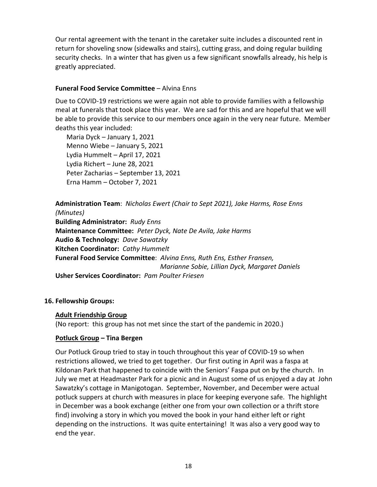Our rental agreement with the tenant in the caretaker suite includes a discounted rent in return for shoveling snow (sidewalks and stairs), cutting grass, and doing regular building security checks. In a winter that has given us a few significant snowfalls already, his help is greatly appreciated.

#### **Funeral Food Service Committee** – Alvina Enns

Due to COVID-19 restrictions we were again not able to provide families with a fellowship meal at funerals that took place this year. We are sad for this and are hopeful that we will be able to provide this service to our members once again in the very near future. Member deaths this year included:

Maria Dyck – January 1, 2021 Menno Wiebe – January 5, 2021 Lydia Hummelt – April 17, 2021 Lydia Richert – June 28, 2021 Peter Zacharias – September 13, 2021 Erna Hamm – October 7, 2021

**Administration Team**: *Nicholas Ewert (Chair to Sept 2021), Jake Harms, Rose Enns (Minutes)* **Building Administrator:** *Rudy Enns*  **Maintenance Committee:** *Peter Dyck, Nate De Avila, Jake Harms* **Audio & Technology:** *Dave Sawatzky* **Kitchen Coordinator:** *Cathy Hummelt* **Funeral Food Service Committee**: *Alvina Enns, Ruth Ens, Esther Fransen,* *Marianne Sobie, Lillian Dyck, Margaret Daniels* **Usher Services Coordinator:** *Pam Poulter Friesen*

## **16. Fellowship Groups:**

#### **Adult Friendship Group**

(No report: this group has not met since the start of the pandemic in 2020.)

#### **Potluck Group – Tina Bergen**

Our Potluck Group tried to stay in touch throughout this year of COVID-19 so when restrictions allowed, we tried to get together. Our first outing in April was a faspa at Kildonan Park that happened to coincide with the Seniors' Faspa put on by the church. In July we met at Headmaster Park for a picnic and in August some of us enjoyed a day at John Sawatzky's cottage in Manigotogan. September, November, and December were actual potluck suppers at church with measures in place for keeping everyone safe. The highlight in December was a book exchange (either one from your own collection or a thrift store find) involving a story in which you moved the book in your hand either left or right depending on the instructions. It was quite entertaining! It was also a very good way to end the year.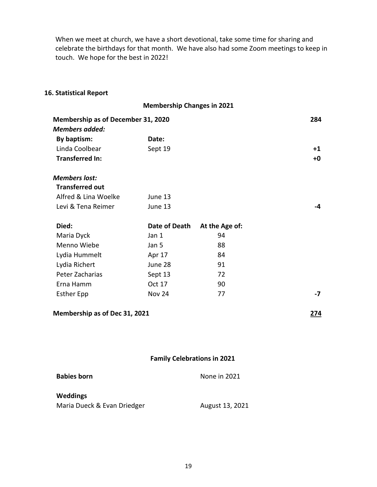When we meet at church, we have a short devotional, take some time for sharing and celebrate the birthdays for that month. We have also had some Zoom meetings to keep in touch. We hope for the best in 2022!

## **16. Statistical Report**

|                                           | <b>Membership Changes in 2021</b>  |                |             |
|-------------------------------------------|------------------------------------|----------------|-------------|
| <b>Membership as of December 31, 2020</b> |                                    |                | 284         |
| <b>Members added:</b>                     |                                    |                |             |
| By baptism:                               | Date:                              |                |             |
| Linda Coolbear                            | Sept 19                            |                | $+1$        |
| <b>Transferred In:</b>                    |                                    |                | +0          |
| <b>Members lost:</b>                      |                                    |                |             |
| <b>Transferred out</b>                    |                                    |                |             |
| Alfred & Lina Woelke                      | June 13                            |                |             |
| Levi & Tena Reimer                        | June 13                            |                | -4          |
| Died:                                     | Date of Death                      | At the Age of: |             |
| Maria Dyck                                | Jan 1                              | 94             |             |
| Menno Wiebe                               | Jan 5                              | 88             |             |
| Lydia Hummelt                             | Apr 17                             | 84             |             |
| Lydia Richert                             | June 28                            | 91             |             |
| Peter Zacharias                           | Sept 13                            | 72             |             |
| Erna Hamm                                 | Oct 17                             | 90             |             |
| <b>Esther Epp</b>                         | <b>Nov 24</b>                      | 77             | $-7$        |
| Membership as of Dec 31, 2021             |                                    |                | <u> 274</u> |
|                                           |                                    |                |             |
|                                           |                                    |                |             |
|                                           | <b>Family Celebrations in 2021</b> |                |             |

# **Babies born** None in 2021 **Weddings** Maria Dueck & Evan Driedger August 13, 2021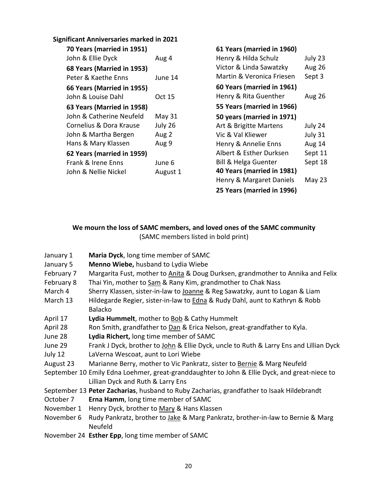## **Significant Anniversaries marked in 2021**

| 70 Years (married in 1951) |          |
|----------------------------|----------|
| John & Ellie Dyck          | Aug 4    |
| 68 Years (Married in 1953) |          |
| Peter & Kaethe Enns        | June 14  |
| 66 Years (Married in 1955) |          |
| John & Louise Dahl         | Oct 15   |
| 63 Years (Married in 1958) |          |
| John & Catherine Neufeld   | May 31   |
| Cornelius & Dora Krause    | July 26  |
| John & Martha Bergen       | Aug 2    |
| Hans & Mary Klassen        | Aug 9    |
| 62 Years (married in 1959) |          |
| Frank & Irene Enns         | June 6   |
| John & Nellie Nickel       | August 1 |

| 61 Years (married in 1960) |               |
|----------------------------|---------------|
| Henry & Hilda Schulz       | July 23       |
| Victor & Linda Sawatzky    | <b>Aug 26</b> |
| Martin & Veronica Friesen  | Sept 3        |
| 60 Years (married in 1961) |               |
| Henry & Rita Guenther      | Aug 26        |
| 55 Years (married in 1966) |               |
| 50 years (married in 1971) |               |
| Art & Brigitte Martens     | July 24       |
| Vic & Val Kliewer          | July 31       |
| Henry & Annelie Enns       | Aug 14        |
| Albert & Esther Durksen    | Sept 11       |
| Bill & Helga Guenter       | Sept 18       |
| 40 Years (married in 1981) |               |
| Henry & Margaret Daniels   | May 23        |
| 25 Years (married in 1996) |               |

## **We mourn the loss of SAMC members, and loved ones of the SAMC community** (SAMC members listed in bold print)

- January 1 **Maria Dyck**, long time member of SAMC
- January 5 **Menno Wiebe,** husband to Lydia Wiebe
- February 7 Margarita Fust, mother to Anita & Doug Durksen, grandmother to Annika and Felix
- February 8 Thai Yin, mother to Sam & Rany Kim, grandmother to Chak Nass
- March 4 Sherry Klassen, sister-in-law to Joanne & Reg Sawatzky, aunt to Logan & Liam
- March 13 Hildegarde Regier, sister-in-law to **Edna & Rudy Dahl, aunt to Kathryn & Robb** Balacko
- April 17 **Lydia Hummelt**, mother to Bob & Cathy Hummelt
- April 28 Ron Smith, grandfather to Dan & Erica Nelson, great-grandfather to Kyla.
- June 28 **Lydia Richert,** long time member of SAMC
- June 29 Frank J Dyck, brother to John & Ellie Dyck, uncle to Ruth & Larry Ens and Lillian Dyck July 12 LaVerna Wescoat, aunt to Lori Wiebe
- August 23 Marianne Berry, mother to Vic Pankratz, sister to Bernie & Marg Neufeld
- September 10 Emily Edna Loehmer, great-granddaughter to John & Ellie Dyck, and great-niece to Lillian Dyck and Ruth & Larry Ens
- September 13 **Peter Zacharias**, husband to Ruby Zacharias, grandfather to Isaak Hildebrandt
- October 7 **Erna Hamm**, long time member of SAMC
- November 1 Henry Dyck, brother to Mary & Hans Klassen
- November 6 Rudy Pankratz, brother to Jake & Marg Pankratz, brother-in-law to Bernie & Marg Neufeld
- November 24 **Esther Epp**, long time member of SAMC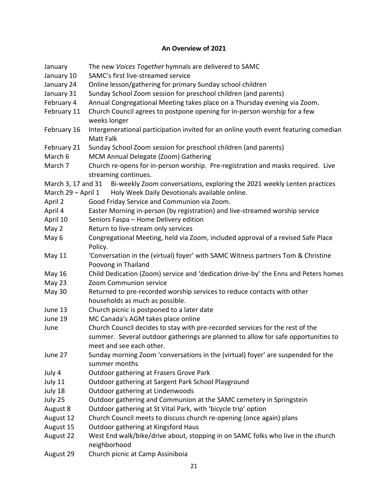# **An Overview of 2021**

| January                                                                           | The new Voices Together hymnals are delivered to SAMC                                                    |  |  |  |
|-----------------------------------------------------------------------------------|----------------------------------------------------------------------------------------------------------|--|--|--|
| January 10                                                                        | SAMC's first live-streamed service                                                                       |  |  |  |
| January 24                                                                        | Online lesson/gathering for primary Sunday school children                                               |  |  |  |
| January 31                                                                        | Sunday School Zoom session for preschool children (and parents)                                          |  |  |  |
| February 4                                                                        | Annual Congregational Meeting takes place on a Thursday evening via Zoom.                                |  |  |  |
| February 11                                                                       | Church Council agrees to postpone opening for in-person worship for a few                                |  |  |  |
|                                                                                   | weeks longer                                                                                             |  |  |  |
| February 16                                                                       | Intergenerational participation invited for an online youth event featuring comedian<br><b>Matt Falk</b> |  |  |  |
| February 21                                                                       | Sunday School Zoom session for preschool children (and parents)                                          |  |  |  |
| March 6                                                                           | MCM Annual Delegate (Zoom) Gathering                                                                     |  |  |  |
| March 7                                                                           | Church re-opens for in-person worship. Pre-registration and masks required. Live                         |  |  |  |
|                                                                                   | streaming continues.                                                                                     |  |  |  |
| March 3, 17 and 31                                                                | Bi-weekly Zoom conversations, exploring the 2021 weekly Lenten practices                                 |  |  |  |
| March 29 - April 1                                                                | Holy Week Daily Devotionals available online.                                                            |  |  |  |
| April 2                                                                           | Good Friday Service and Communion via Zoom.                                                              |  |  |  |
| April 4                                                                           | Easter Morning in-person (by registration) and live-streamed worship service                             |  |  |  |
| April 10                                                                          | Seniors Faspa - Home Delivery edition                                                                    |  |  |  |
| May 2                                                                             | Return to live-stream only services                                                                      |  |  |  |
| May 6                                                                             | Congregational Meeting, held via Zoom, included approval of a revised Safe Place                         |  |  |  |
|                                                                                   | Policy.                                                                                                  |  |  |  |
| May 11                                                                            | 'Conversation in the (virtual) foyer' with SAMC Witness partners Tom & Christine<br>Poovong in Thailand  |  |  |  |
| May 16                                                                            | Child Dedication (Zoom) service and 'dedication drive-by' the Enns and Peters homes                      |  |  |  |
| May 23                                                                            | Zoom Communion service                                                                                   |  |  |  |
| May 30<br>Returned to pre-recorded worship services to reduce contacts with other |                                                                                                          |  |  |  |
|                                                                                   | households as much as possible.                                                                          |  |  |  |
| June 13                                                                           | Church picnic is postponed to a later date                                                               |  |  |  |
| June 19                                                                           | MC Canada's AGM takes place online                                                                       |  |  |  |
| June                                                                              | Church Council decides to stay with pre-recorded services for the rest of the                            |  |  |  |
|                                                                                   | summer. Several outdoor gatherings are planned to allow for safe opportunities to                        |  |  |  |
|                                                                                   | meet and see each other.                                                                                 |  |  |  |
| June 27                                                                           | Sunday morning Zoom 'conversations in the (virtual) foyer' are suspended for the                         |  |  |  |
|                                                                                   | summer months                                                                                            |  |  |  |
| July 4                                                                            | Outdoor gathering at Frasers Grove Park                                                                  |  |  |  |
| July 11                                                                           | Outdoor gathering at Sargent Park School Playground                                                      |  |  |  |
| July 18                                                                           | Outdoor gathering at Lindenwoods                                                                         |  |  |  |
| July 25                                                                           | Outdoor gathering and Communion at the SAMC cemetery in Springstein                                      |  |  |  |
| August 8                                                                          | Outdoor gathering at St Vital Park, with 'bicycle trip' option                                           |  |  |  |
| August 12                                                                         | Church Council meets to discuss church re-opening (once again) plans                                     |  |  |  |
| August 15                                                                         | Outdoor gathering at Kingsford Haus                                                                      |  |  |  |
| August 22                                                                         | West End walk/bike/drive about, stopping in on SAMC folks who live in the church                         |  |  |  |
|                                                                                   | neighborhood                                                                                             |  |  |  |
| August 29                                                                         | Church picnic at Camp Assiniboia                                                                         |  |  |  |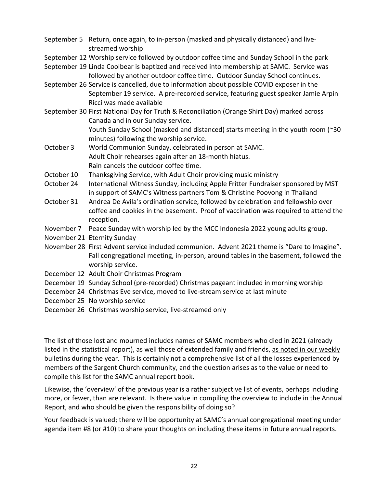- September 5 Return, once again, to in-person (masked and physically distanced) and livestreamed worship
- September 12 Worship service followed by outdoor coffee time and Sunday School in the park
- September 19 Linda Coolbear is baptized and received into membership at SAMC. Service was followed by another outdoor coffee time. Outdoor Sunday School continues.
- September 26 Service is cancelled, due to information about possible COVID exposer in the September 19 service. A pre-recorded service, featuring guest speaker Jamie Arpin Ricci was made available
- September 30 First National Day for Truth & Reconciliation (Orange Shirt Day) marked across Canada and in our Sunday service.

Youth Sunday School (masked and distanced) starts meeting in the youth room (~30 minutes) following the worship service.

- October 3 World Communion Sunday, celebrated in person at SAMC. Adult Choir rehearses again after an 18-month hiatus. Rain cancels the outdoor coffee time.
- October 10 Thanksgiving Service, with Adult Choir providing music ministry
- October 24 International Witness Sunday, including Apple Fritter Fundraiser sponsored by MST in support of SAMC's Witness partners Tom & Christine Poovong in Thailand
- October 31 Andrea De Avila's ordination service, followed by celebration and fellowship over coffee and cookies in the basement. Proof of vaccination was required to attend the reception.
- November 7 Peace Sunday with worship led by the MCC Indonesia 2022 young adults group.
- November 21 Eternity Sunday
- November 28 First Advent service included communion. Advent 2021 theme is "Dare to Imagine". Fall congregational meeting, in-person, around tables in the basement, followed the worship service.
- December 12 Adult Choir Christmas Program
- December 19 Sunday School (pre-recorded) Christmas pageant included in morning worship
- December 24 Christmas Eve service, moved to live-stream service at last minute
- December 25 No worship service
- December 26 Christmas worship service, live-streamed only

The list of those lost and mourned includes names of SAMC members who died in 2021 (already listed in the statistical report), as well those of extended family and friends, as noted in our weekly bulletins during the year. This is certainly not a comprehensive list of all the losses experienced by members of the Sargent Church community, and the question arises as to the value or need to compile this list for the SAMC annual report book.

Likewise, the 'overview' of the previous year is a rather subjective list of events, perhaps including more, or fewer, than are relevant. Is there value in compiling the overview to include in the Annual Report, and who should be given the responsibility of doing so?

Your feedback is valued; there will be opportunity at SAMC's annual congregational meeting under agenda item #8 (or #10) to share your thoughts on including these items in future annual reports.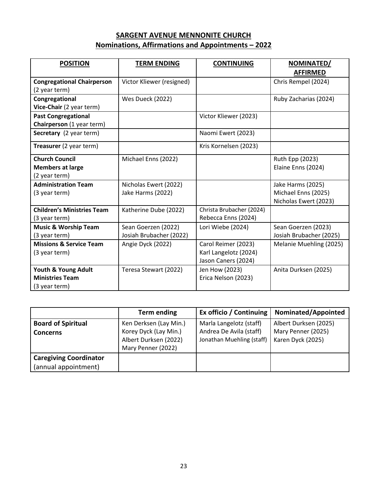# **SARGENT AVENUE MENNONITE CHURCH Nominations, Affirmations and Appointments – 2022**

| <b>POSITION</b>                                                   | <b>TERM ENDING</b>                             | <b>CONTINUING</b>                                                   | NOMINATED/<br><b>AFFIRMED</b>                                     |
|-------------------------------------------------------------------|------------------------------------------------|---------------------------------------------------------------------|-------------------------------------------------------------------|
| <b>Congregational Chairperson</b><br>(2 year term)                | Victor Kliewer (resigned)                      |                                                                     | Chris Rempel (2024)                                               |
| Congregational<br>Vice-Chair (2 year term)                        | Wes Dueck (2022)                               |                                                                     | Ruby Zacharias (2024)                                             |
| <b>Past Congregational</b><br>Chairperson (1 year term)           |                                                | Victor Kliewer (2023)                                               |                                                                   |
| Secretary (2 year term)                                           |                                                | Naomi Ewert (2023)                                                  |                                                                   |
| Treasurer (2 year term)                                           |                                                | Kris Kornelsen (2023)                                               |                                                                   |
| <b>Church Council</b><br><b>Members at large</b><br>(2 year term) | Michael Enns (2022)                            |                                                                     | Ruth Epp (2023)<br>Elaine Enns (2024)                             |
| <b>Administration Team</b><br>(3 year term)                       | Nicholas Ewert (2022)<br>Jake Harms (2022)     |                                                                     | Jake Harms (2025)<br>Michael Enns (2025)<br>Nicholas Ewert (2023) |
| <b>Children's Ministries Team</b><br>(3 year term)                | Katherine Dube (2022)                          | Christa Brubacher (2024)<br>Rebecca Enns (2024)                     |                                                                   |
| <b>Music &amp; Worship Team</b><br>(3 year term)                  | Sean Goerzen (2022)<br>Josiah Brubacher (2022) | Lori Wiebe (2024)                                                   | Sean Goerzen (2023)<br>Josiah Brubacher (2025)                    |
| <b>Missions &amp; Service Team</b><br>(3 year term)               | Angie Dyck (2022)                              | Carol Reimer (2023)<br>Karl Langelotz (2024)<br>Jason Caners (2024) | Melanie Muehling (2025)                                           |
| Youth & Young Adult<br><b>Ministries Team</b><br>(3 year term)    | Teresa Stewart (2022)                          | Jen How (2023)<br>Erica Nelson (2023)                               | Anita Durksen (2025)                                              |

|                                                       | <b>Term ending</b>                                                                             | Ex officio / Continuing                                                         | Nominated/Appointed                                              |
|-------------------------------------------------------|------------------------------------------------------------------------------------------------|---------------------------------------------------------------------------------|------------------------------------------------------------------|
| <b>Board of Spiritual</b><br><b>Concerns</b>          | Ken Derksen (Lay Min.)<br>Korey Dyck (Lay Min.)<br>Albert Durksen (2022)<br>Mary Penner (2022) | Marla Langelotz (staff)<br>Andrea De Avila (staff)<br>Jonathan Muehling (staff) | Albert Durksen (2025)<br>Mary Penner (2025)<br>Karen Dyck (2025) |
| <b>Caregiving Coordinator</b><br>(annual appointment) |                                                                                                |                                                                                 |                                                                  |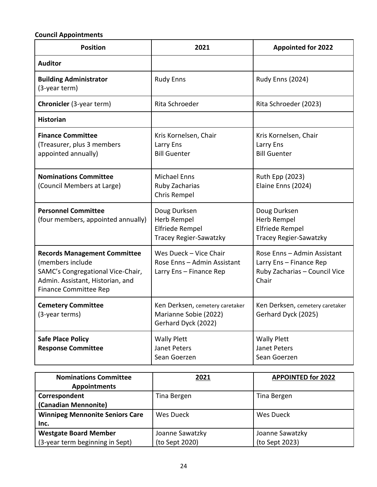# **Council Appointments**

| <b>Position</b>                                                                                                                                                  | 2021                                                                                   | <b>Appointed for 2022</b>                                                                        |
|------------------------------------------------------------------------------------------------------------------------------------------------------------------|----------------------------------------------------------------------------------------|--------------------------------------------------------------------------------------------------|
| <b>Auditor</b>                                                                                                                                                   |                                                                                        |                                                                                                  |
| <b>Building Administrator</b><br>(3-year term)                                                                                                                   | <b>Rudy Enns</b>                                                                       | <b>Rudy Enns (2024)</b>                                                                          |
| Chronicler (3-year term)                                                                                                                                         | Rita Schroeder                                                                         | Rita Schroeder (2023)                                                                            |
| <b>Historian</b>                                                                                                                                                 |                                                                                        |                                                                                                  |
| <b>Finance Committee</b><br>(Treasurer, plus 3 members<br>appointed annually)                                                                                    | Kris Kornelsen, Chair<br>Larry Ens<br><b>Bill Guenter</b>                              | Kris Kornelsen, Chair<br>Larry Ens<br><b>Bill Guenter</b>                                        |
| <b>Nominations Committee</b><br>(Council Members at Large)                                                                                                       | <b>Michael Enns</b><br>Ruby Zacharias<br>Chris Rempel                                  | Ruth Epp (2023)<br>Elaine Enns (2024)                                                            |
| <b>Personnel Committee</b><br>(four members, appointed annually)                                                                                                 | Doug Durksen<br>Herb Rempel<br><b>Elfriede Rempel</b><br><b>Tracey Regier-Sawatzky</b> | Doug Durksen<br>Herb Rempel<br><b>Elfriede Rempel</b><br><b>Tracey Regier-Sawatzky</b>           |
| <b>Records Management Committee</b><br>(members include<br>SAMC's Congregational Vice-Chair,<br>Admin. Assistant, Historian, and<br><b>Finance Committee Rep</b> | Wes Dueck - Vice Chair<br>Rose Enns - Admin Assistant<br>Larry Ens - Finance Rep       | Rose Enns - Admin Assistant<br>Larry Ens - Finance Rep<br>Ruby Zacharias - Council Vice<br>Chair |
| <b>Cemetery Committee</b><br>(3-year terms)                                                                                                                      | Ken Derksen, cemetery caretaker<br>Marianne Sobie (2022)<br>Gerhard Dyck (2022)        | Ken Derksen, cemetery caretaker<br>Gerhard Dyck (2025)                                           |
| <b>Safe Place Policy</b><br><b>Response Committee</b>                                                                                                            | <b>Wally Plett</b><br>Janet Peters<br>Sean Goerzen                                     | <b>Wally Plett</b><br>Janet Peters<br>Sean Goerzen                                               |

| <b>Nominations Committee</b>           | 2021            | <b>APPOINTED for 2022</b> |
|----------------------------------------|-----------------|---------------------------|
| <b>Appointments</b>                    |                 |                           |
| Correspondent                          | Tina Bergen     | Tina Bergen               |
| (Canadian Mennonite)                   |                 |                           |
| <b>Winnipeg Mennonite Seniors Care</b> | Wes Dueck       | Wes Dueck                 |
| Inc.                                   |                 |                           |
| <b>Westgate Board Member</b>           | Joanne Sawatzky | Joanne Sawatzky           |
| (3-year term beginning in Sept)        | (to Sept 2020)  | (to Sept 2023)            |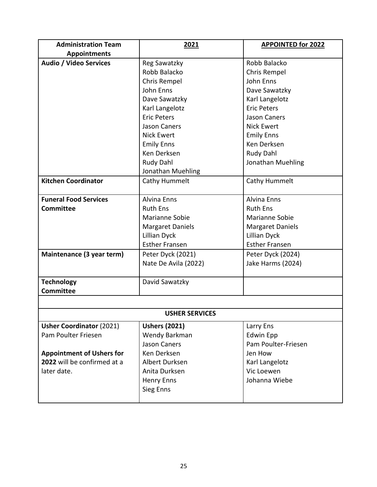| <b>Administration Team</b>       | 2021                    | <b>APPOINTED for 2022</b> |  |
|----------------------------------|-------------------------|---------------------------|--|
| <b>Appointments</b>              |                         |                           |  |
| <b>Audio / Video Services</b>    | Reg Sawatzky            | Robb Balacko              |  |
|                                  | Robb Balacko            | Chris Rempel              |  |
|                                  | Chris Rempel            | John Enns                 |  |
|                                  | John Enns               | Dave Sawatzky             |  |
|                                  | Dave Sawatzky           | Karl Langelotz            |  |
|                                  | Karl Langelotz          | <b>Eric Peters</b>        |  |
|                                  | <b>Eric Peters</b>      | <b>Jason Caners</b>       |  |
|                                  | Jason Caners            | <b>Nick Ewert</b>         |  |
|                                  | <b>Nick Ewert</b>       | <b>Emily Enns</b>         |  |
|                                  | <b>Emily Enns</b>       | Ken Derksen               |  |
|                                  | Ken Derksen             | Rudy Dahl                 |  |
|                                  | Rudy Dahl               | Jonathan Muehling         |  |
|                                  | Jonathan Muehling       |                           |  |
| <b>Kitchen Coordinator</b>       | Cathy Hummelt           | Cathy Hummelt             |  |
|                                  |                         |                           |  |
| <b>Funeral Food Services</b>     | <b>Alvina Enns</b>      | <b>Alvina Enns</b>        |  |
| <b>Committee</b>                 | <b>Ruth Ens</b>         | <b>Ruth Ens</b>           |  |
|                                  | Marianne Sobie          | Marianne Sobie            |  |
|                                  | <b>Margaret Daniels</b> | <b>Margaret Daniels</b>   |  |
|                                  | Lillian Dyck            | <b>Lillian Dyck</b>       |  |
|                                  | <b>Esther Fransen</b>   | <b>Esther Fransen</b>     |  |
| Maintenance (3 year term)        | Peter Dyck (2021)       | Peter Dyck (2024)         |  |
|                                  | Nate De Avila (2022)    | Jake Harms (2024)         |  |
|                                  |                         |                           |  |
| <b>Technology</b>                | David Sawatzky          |                           |  |
| <b>Committee</b>                 |                         |                           |  |
|                                  |                         |                           |  |
| <b>USHER SERVICES</b>            |                         |                           |  |
| <b>Usher Coordinator (2021)</b>  | <b>Ushers (2021)</b>    | Larry Ens                 |  |
| Pam Poulter Friesen              | Wendy Barkman           | <b>Edwin Epp</b>          |  |
|                                  | <b>Jason Caners</b>     | Pam Poulter-Friesen       |  |
| <b>Appointment of Ushers for</b> | Ken Derksen             | Jen How                   |  |
| 2022 will be confirmed at a      | Albert Durksen          | Karl Langelotz            |  |
| later date.                      | Anita Durksen           | Vic Loewen                |  |
|                                  | <b>Henry Enns</b>       | Johanna Wiebe             |  |
|                                  | Sieg Enns               |                           |  |
|                                  |                         |                           |  |